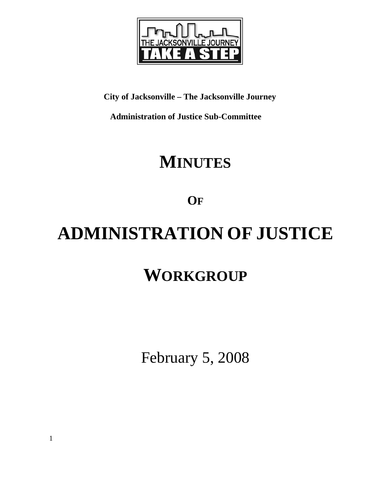

## **City of Jacksonville – The Jacksonville Journey**

 **Administration of Justice Sub-Committee** 

# **MINUTES**

**OF**

# **ADMINISTRATION OF JUSTICE**

# **WORKGROUP**

February 5, 2008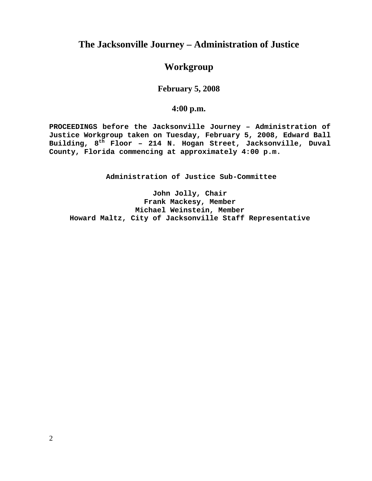### **The Jacksonville Journey – Administration of Justice**

#### **Workgroup**

#### **February 5, 2008**

#### **4:00 p.m.**

**PROCEEDINGS before the Jacksonville Journey – Administration of Justice Workgroup taken on Tuesday, February 5, 2008, Edward Ball Building, 8th Floor – 214 N. Hogan Street, Jacksonville, Duval County, Florida commencing at approximately 4:00 p.m.** 

**Administration of Justice Sub-Committee** 

**John Jolly, Chair Frank Mackesy, Member Michael Weinstein, Member Howard Maltz, City of Jacksonville Staff Representative**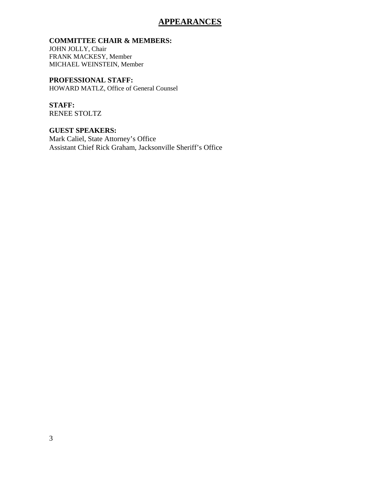#### **APPEARANCES**

#### **COMMITTEE CHAIR & MEMBERS:**

JOHN JOLLY, Chair FRANK MACKESY, Member MICHAEL WEINSTEIN, Member

**PROFESSIONAL STAFF:** HOWARD MATLZ, Office of General Counsel

**STAFF:**  RENEE STOLTZ

**GUEST SPEAKERS:**  Mark Caliel, State Attorney's Office Assistant Chief Rick Graham, Jacksonville Sheriff's Office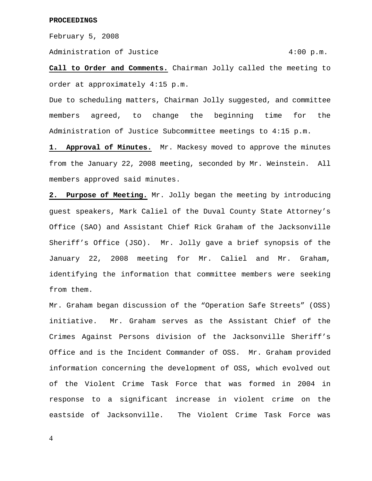February 5, 2008

Administration of Justice 4:00 p.m.

**Call to Order and Comments.** Chairman Jolly called the meeting to order at approximately 4:15 p.m.

Due to scheduling matters, Chairman Jolly suggested, and committee members agreed, to change the beginning time for the Administration of Justice Subcommittee meetings to 4:15 p.m.

1. Approval of Minutes. Mr. Mackesy moved to approve the minutes from the January 22, 2008 meeting, seconded by Mr. Weinstein. All members approved said minutes.

**2. Purpose of Meeting.** Mr. Jolly began the meeting by introducing guest speakers, Mark Caliel of the Duval County State Attorney's Office (SAO) and Assistant Chief Rick Graham of the Jacksonville Sheriff's Office (JSO). Mr. Jolly gave a brief synopsis of the January 22, 2008 meeting for Mr. Caliel and Mr. Graham, identifying the information that committee members were seeking from them.

Mr. Graham began discussion of the "Operation Safe Streets" (OSS) initiative. Mr. Graham serves as the Assistant Chief of the Crimes Against Persons division of the Jacksonville Sheriff's Office and is the Incident Commander of OSS. Mr. Graham provided information concerning the development of OSS, which evolved out of the Violent Crime Task Force that was formed in 2004 in response to a significant increase in violent crime on the eastside of Jacksonville. The Violent Crime Task Force was

4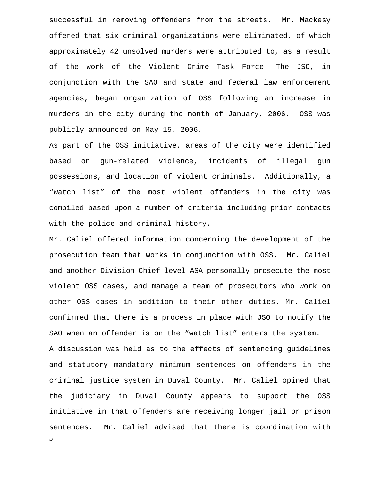successful in removing offenders from the streets. Mr. Mackesy offered that six criminal organizations were eliminated, of which approximately 42 unsolved murders were attributed to, as a result of the work of the Violent Crime Task Force. The JSO, in conjunction with the SAO and state and federal law enforcement agencies, began organization of OSS following an increase in murders in the city during the month of January, 2006. OSS was publicly announced on May 15, 2006.

As part of the OSS initiative, areas of the city were identified based on gun-related violence, incidents of illegal gun possessions, and location of violent criminals. Additionally, a "watch list" of the most violent offenders in the city was compiled based upon a number of criteria including prior contacts with the police and criminal history.

5 Mr. Caliel offered information concerning the development of the prosecution team that works in conjunction with OSS. Mr. Caliel and another Division Chief level ASA personally prosecute the most violent OSS cases, and manage a team of prosecutors who work on other OSS cases in addition to their other duties. Mr. Caliel confirmed that there is a process in place with JSO to notify the SAO when an offender is on the "watch list" enters the system. A discussion was held as to the effects of sentencing guidelines and statutory mandatory minimum sentences on offenders in the criminal justice system in Duval County. Mr. Caliel opined that the judiciary in Duval County appears to support the OSS initiative in that offenders are receiving longer jail or prison sentences. Mr. Caliel advised that there is coordination with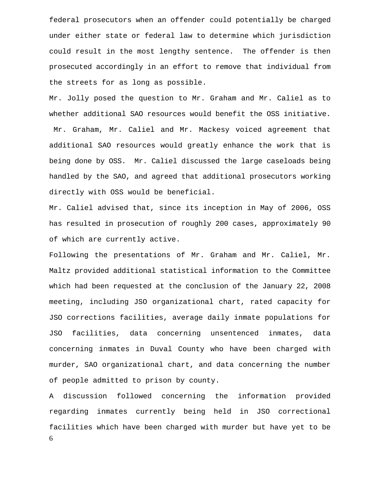federal prosecutors when an offender could potentially be charged under either state or federal law to determine which jurisdiction could result in the most lengthy sentence. The offender is then prosecuted accordingly in an effort to remove that individual from the streets for as long as possible.

Mr. Jolly posed the question to Mr. Graham and Mr. Caliel as to whether additional SAO resources would benefit the OSS initiative. Mr. Graham, Mr. Caliel and Mr. Mackesy voiced agreement that additional SAO resources would greatly enhance the work that is being done by OSS. Mr. Caliel discussed the large caseloads being handled by the SAO, and agreed that additional prosecutors working directly with OSS would be beneficial.

Mr. Caliel advised that, since its inception in May of 2006, OSS has resulted in prosecution of roughly 200 cases, approximately 90 of which are currently active.

Following the presentations of Mr. Graham and Mr. Caliel, Mr. Maltz provided additional statistical information to the Committee which had been requested at the conclusion of the January 22, 2008 meeting, including JSO organizational chart, rated capacity for JSO corrections facilities, average daily inmate populations for JSO facilities, data concerning unsentenced inmates, data concerning inmates in Duval County who have been charged with murder, SAO organizational chart, and data concerning the number of people admitted to prison by county.

6 A discussion followed concerning the information provided regarding inmates currently being held in JSO correctional facilities which have been charged with murder but have yet to be